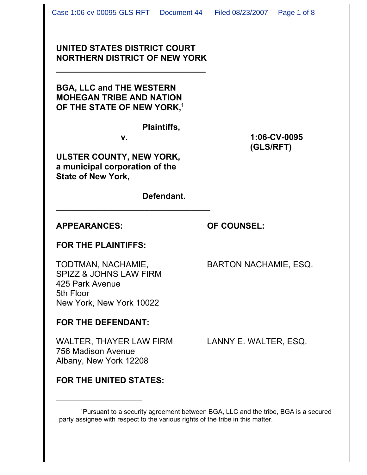### **UNITED STATES DISTRICT COURT NORTHERN DISTRICT OF NEW YORK**

**\_\_\_\_\_\_\_\_\_\_\_\_\_\_\_\_\_\_\_\_\_\_\_\_\_\_\_\_\_\_\_\_**

**BGA, LLC and THE WESTERN MOHEGAN TRIBE AND NATION OF THE STATE OF NEW YORK,1**

#### **Plaintiffs,**

**\_\_\_\_\_\_\_\_\_\_\_\_\_\_\_\_\_\_\_\_\_\_\_\_\_\_\_\_\_\_\_\_\_**

**ULSTER COUNTY, NEW YORK, a municipal corporation of the State of New York,**

**Defendant.**

### **APPEARANCES: OF COUNSEL:**

### **FOR THE PLAINTIFFS:**

TODTMAN, NACHAMIE, BARTON NACHAMIE, ESQ. SPIZZ & JOHNS LAW FIRM 425 Park Avenue 5th Floor New York, New York 10022

# **FOR THE DEFENDANT:**

WALTER, THAYER LAW FIRM LANNY E. WALTER, ESQ. 756 Madison Avenue Albany, New York 12208

# **FOR THE UNITED STATES:**

<sup>1</sup>Pursuant to a security agreement between BGA, LLC and the tribe, BGA is a secured party assignee with respect to the various rights of the tribe in this matter.

**v. 1:06-CV-0095 (GLS/RFT)**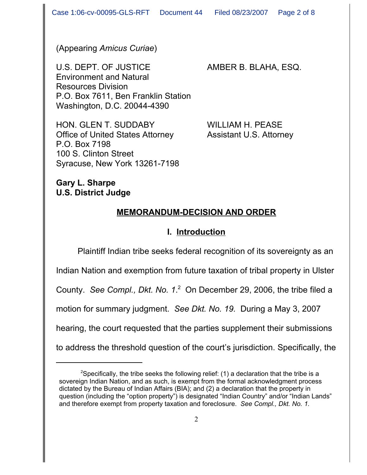(Appearing *Amicus Curiae*)

U.S. DEPT. OF JUSTICE AMBER B. BLAHA, ESQ. Environment and Natural Resources Division P.O. Box 7611, Ben Franklin Station Washington, D.C. 20044-4390

HON. GLEN T. SUDDABY WILLIAM H. PEASE Office of United States Attorney Assistant U.S. Attorney P.O. Box 7198 100 S. Clinton Street Syracuse, New York 13261-7198

### **Gary L. Sharpe U.S. District Judge**

# **MEMORANDUM-DECISION AND ORDER**

# **I. Introduction**

Plaintiff Indian tribe seeks federal recognition of its sovereignty as an Indian Nation and exemption from future taxation of tribal property in Ulster County. See Compl., Dkt. No. 1.<sup>2</sup> On December 29, 2006, the tribe filed a motion for summary judgment. *See Dkt. No. 19.* During a May 3, 2007 hearing, the court requested that the parties supplement their submissions to address the threshold question of the court's jurisdiction. Specifically, the

<sup>&</sup>lt;sup>2</sup>Specifically, the tribe seeks the following relief: (1) a declaration that the tribe is a sovereign Indian Nation, and as such, is exempt from the formal acknowledgment process dictated by the Bureau of Indian Affairs (BIA); and (2) a declaration that the property in question (including the "option property") is designated "Indian Country" and/or "Indian Lands" and therefore exempt from property taxation and foreclosure. *See Compl., Dkt. No. 1.*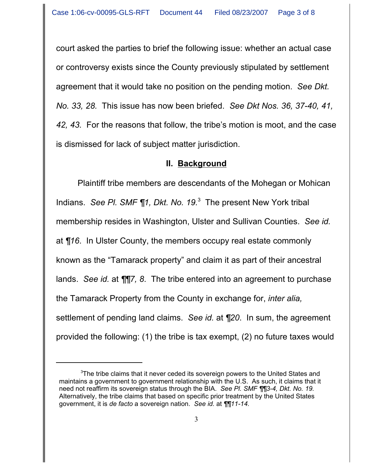court asked the parties to brief the following issue: whether an actual case or controversy exists since the County previously stipulated by settlement agreement that it would take no position on the pending motion. *See Dkt. No. 33, 28.* This issue has now been briefed. *See Dkt Nos. 36, 37-40, 41, 42, 43.* For the reasons that follow, the tribe's motion is moot, and the case is dismissed for lack of subject matter jurisdiction.

### **II. Background**

Plaintiff tribe members are descendants of the Mohegan or Mohican Indians. See Pl. SMF ¶1, Dkt. No. 19.<sup>3</sup> The present New York tribal membership resides in Washington, Ulster and Sullivan Counties. *See id.* at *¶16*. In Ulster County, the members occupy real estate commonly known as the "Tamarack property" and claim it as part of their ancestral lands. *See id.* at *¶¶7, 8*. The tribe entered into an agreement to purchase the Tamarack Property from the County in exchange for, *inter alia,* settlement of pending land claims. *See id.* at *¶20*. In sum, the agreement provided the following: (1) the tribe is tax exempt, (2) no future taxes would

 $3$ The tribe claims that it never ceded its sovereign powers to the United States and maintains a government to government relationship with the U.S. As such, it claims that it need not reaffirm its sovereign status through the BIA. *See Pl. SMF ¶¶3-4, Dkt. No. 19.*  Alternatively, the tribe claims that based on specific prior treatment by the United States government, it is *de facto* a sovereign nation. *See id.* at *¶¶11-14.*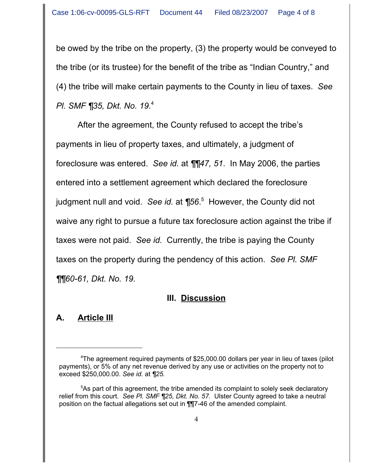be owed by the tribe on the property, (3) the property would be conveyed to the tribe (or its trustee) for the benefit of the tribe as "Indian Country," and (4) the tribe will make certain payments to the County in lieu of taxes. *See Pl. SMF ¶35, Dkt. No. 19.*<sup>4</sup>

After the agreement, the County refused to accept the tribe's payments in lieu of property taxes, and ultimately, a judgment of foreclosure was entered. *See id.* at *¶¶47, 51*. In May 2006, the parties entered into a settlement agreement which declared the foreclosure judgment null and void. *See id.* at *¶56*. 5 However, the County did not waive any right to pursue a future tax foreclosure action against the tribe if taxes were not paid. *See id.* Currently, the tribe is paying the County taxes on the property during the pendency of this action. *See Pl. SMF ¶¶60-61, Dkt. No. 19.*

# **III. Discussion**

# **A. Article III**

<sup>4</sup> The agreement required payments of \$25,000.00 dollars per year in lieu of taxes (pilot payments), or 5% of any net revenue derived by any use or activities on the property not to exceed \$250,000.00. *See id.* at *¶25.*

<sup>&</sup>lt;sup>5</sup>As part of this agreement, the tribe amended its complaint to solely seek declaratory relief from this court. *See Pl. SMF ¶25, Dkt. No. 57.* Ulster County agreed to take a neutral position on the factual allegations set out in ¶¶7-46 of the amended complaint.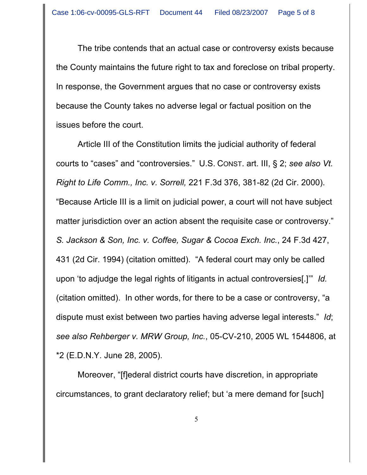The tribe contends that an actual case or controversy exists because the County maintains the future right to tax and foreclose on tribal property. In response, the Government argues that no case or controversy exists because the County takes no adverse legal or factual position on the issues before the court.

Article III of the Constitution limits the judicial authority of federal courts to "cases" and "controversies." U.S. CONST. art. III, § 2; *see also Vt. Right to Life Comm., Inc. v. Sorrell,* 221 F.3d 376, 381-82 (2d Cir. 2000). "Because Article III is a limit on judicial power, a court will not have subject matter jurisdiction over an action absent the requisite case or controversy." *S. Jackson & Son, Inc. v. Coffee, Sugar & Cocoa Exch. Inc.*, 24 F.3d 427, 431 (2d Cir. 1994) (citation omitted). "A federal court may only be called upon 'to adjudge the legal rights of litigants in actual controversies[.]'" *Id.* (citation omitted).In other words, for there to be a case or controversy, "a dispute must exist between two parties having adverse legal interests." *Id*; *see also Rehberger v. MRW Group, Inc.*, 05-CV-210, 2005 WL 1544806, at \*2 (E.D.N.Y. June 28, 2005).

Moreover, "[f]ederal district courts have discretion, in appropriate circumstances, to grant declaratory relief; but 'a mere demand for [such]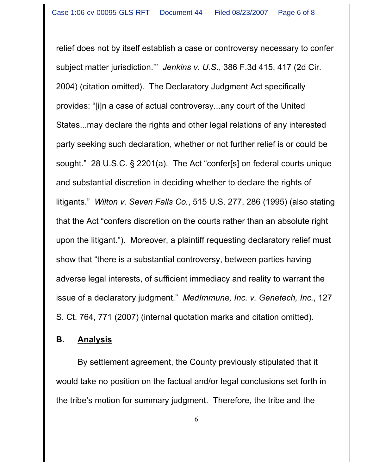relief does not by itself establish a case or controversy necessary to confer subject matter jurisdiction.'" *Jenkins v. U.S.*, 386 F.3d 415, 417 (2d Cir. 2004) (citation omitted). The Declaratory Judgment Act specifically provides: "[i]n a case of actual controversy...any court of the United States...may declare the rights and other legal relations of any interested party seeking such declaration, whether or not further relief is or could be sought." 28 U.S.C. § 2201(a). The Act "confer[s] on federal courts unique and substantial discretion in deciding whether to declare the rights of litigants." *Wilton v. Seven Falls Co.*, 515 U.S. 277, 286 (1995) (also stating that the Act "confers discretion on the courts rather than an absolute right upon the litigant."). Moreover, a plaintiff requesting declaratory relief must show that "there is a substantial controversy, between parties having adverse legal interests, of sufficient immediacy and reality to warrant the issue of a declaratory judgment." *MedImmune, Inc. v. Genetech, Inc.*, 127 S. Ct. 764, 771 (2007) (internal quotation marks and citation omitted).

# **B. Analysis**

By settlement agreement, the County previously stipulated that it would take no position on the factual and/or legal conclusions set forth in the tribe's motion for summary judgment. Therefore, the tribe and the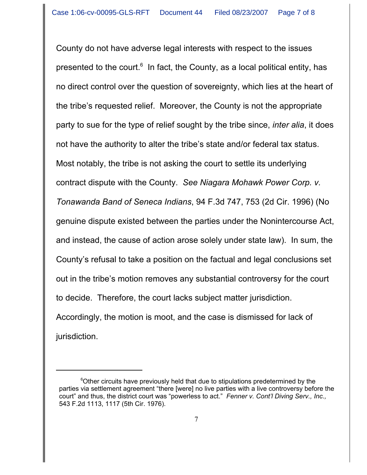County do not have adverse legal interests with respect to the issues presented to the court.<sup>6</sup> In fact, the County, as a local political entity, has no direct control over the question of sovereignty, which lies at the heart of the tribe's requested relief. Moreover, the County is not the appropriate party to sue for the type of relief sought by the tribe since, *inter alia*, it does not have the authority to alter the tribe's state and/or federal tax status. Most notably, the tribe is not asking the court to settle its underlying contract dispute with the County. *See Niagara Mohawk Power Corp. v. Tonawanda Band of Seneca Indians*, 94 F.3d 747, 753 (2d Cir. 1996) (No genuine dispute existed between the parties under the Nonintercourse Act, and instead, the cause of action arose solely under state law). In sum, the County's refusal to take a position on the factual and legal conclusions set out in the tribe's motion removes any substantial controversy for the court to decide. Therefore, the court lacks subject matter jurisdiction. Accordingly, the motion is moot, and the case is dismissed for lack of jurisdiction.

<sup>&</sup>lt;sup>6</sup>Other circuits have previously held that due to stipulations predetermined by the parties via settlement agreement "there [were] no live parties with a live controversy before the court" and thus, the district court was "powerless to act." *Fenner v. Cont'l Diving Serv., Inc.,* 543 F.2d 1113, 1117 (5th Cir. 1976).